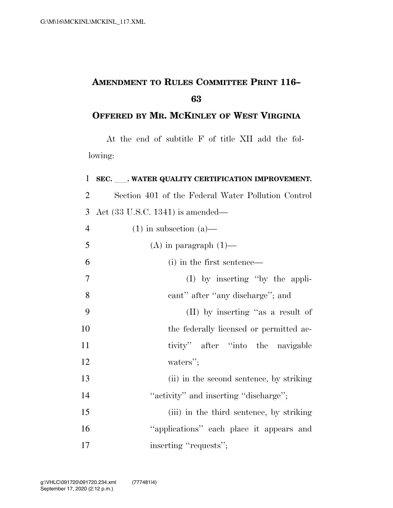## **AMENDMENT TO RULES COMMITTEE PRINT 116–**

## **OFFERED BY MR. MCKINLEY OF WEST VIRGINIA**

At the end of subtitle F of title XII add the following:

| $\mathbf{1}$   | SEC. ___. WATER QUALITY CERTIFICATION IMPROVEMENT. |
|----------------|----------------------------------------------------|
| $\overline{2}$ | Section 401 of the Federal Water Pollution Control |
| 3              | Act $(33 \text{ U.S.C. } 1341)$ is amended—        |
| $\overline{4}$ | $(1)$ in subsection $(a)$ —                        |
| 5              | $(A)$ in paragraph $(1)$ —                         |
| 6              | (i) in the first sentence—                         |
| $\overline{7}$ | $(I)$ by inserting "by the appli-                  |
| 8              | cant" after "any discharge"; and                   |
| 9              | (II) by inserting "as a result of                  |
| 10             | the federally licensed or permitted ac-            |
| 11             | tivity" after "into the navigable                  |
| 12             | waters";                                           |
| 13             | (ii) in the second sentence, by striking           |
| 14             | "activity" and inserting "discharge";              |
| 15             | (iii) in the third sentence, by striking           |
| 16             | "applications" each place it appears and           |
| 17             | inserting "requests";                              |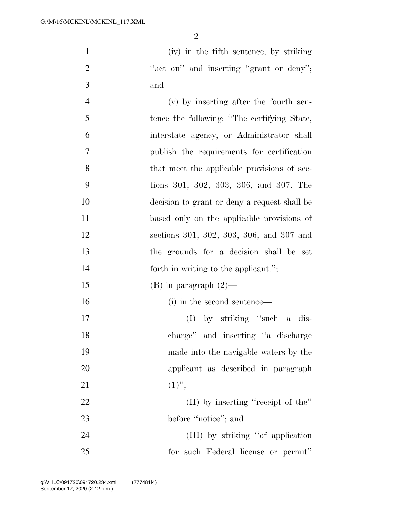1 (iv) in the fifth sentence, by striking 2 "act on" and inserting "grant or deny"; 3 and

 (v) by inserting after the fourth sen- tence the following: ''The certifying State, interstate agency, or Administrator shall publish the requirements for certification 8 that meet the applicable provisions of sec- tions 301, 302, 303, 306, and 307. The decision to grant or deny a request shall be based only on the applicable provisions of sections 301, 302, 303, 306, and 307 and the grounds for a decision shall be set 14 forth in writing to the applicant."; 15 (B) in paragraph  $(2)$ — 16 (i) in the second sentence— (I) by striking ''such a dis- charge'' and inserting ''a discharge made into the navigable waters by the applicant as described in paragraph 21  $(1)$ "; 22 (II) by inserting "receipt of the" 23 before "notice"; and

24 (III) by striking "of application 25 for such Federal license or permit''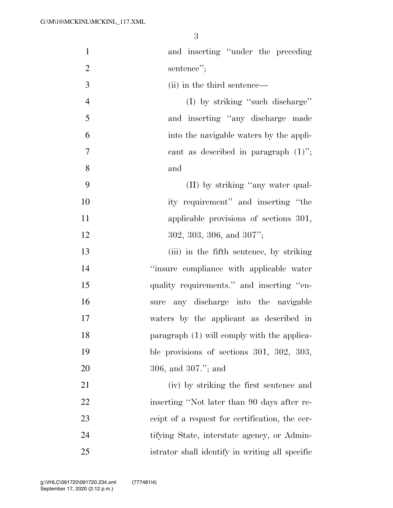| $\mathbf{1}$   | and inserting "under the preceding              |
|----------------|-------------------------------------------------|
| $\overline{2}$ | sentence";                                      |
| 3              | (ii) in the third sentence—                     |
| $\overline{4}$ | (I) by striking "such discharge"                |
| 5              | and inserting "any discharge made               |
| 6              | into the navigable waters by the appli-         |
| 7              | cant as described in paragraph $(1)$ ";         |
| 8              | and                                             |
| 9              | (II) by striking "any water qual-               |
| 10             | ity requirement" and inserting "the             |
| 11             | applicable provisions of sections 301,          |
| 12             | $302, 303, 306, \text{ and } 307$ ";            |
| 13             | (iii) in the fifth sentence, by striking        |
| 14             | "insure compliance with applicable water        |
| 15             | quality requirements." and inserting "en-       |
| 16             | any discharge into the navigable<br>sure        |
| 17             | waters by the applicant as described in         |
| 18             | paragraph (1) will comply with the applica-     |
| 19             | ble provisions of sections $301, 302, 303,$     |
| 20             | 306, and $307."$ ; and                          |
| 21             | (iv) by striking the first sentence and         |
| 22             | inserting "Not later than 90 days after re-     |
| 23             | ceipt of a request for certification, the cer-  |
| 24             | tifying State, interstate agency, or Admin-     |
| 25             | istrator shall identify in writing all specific |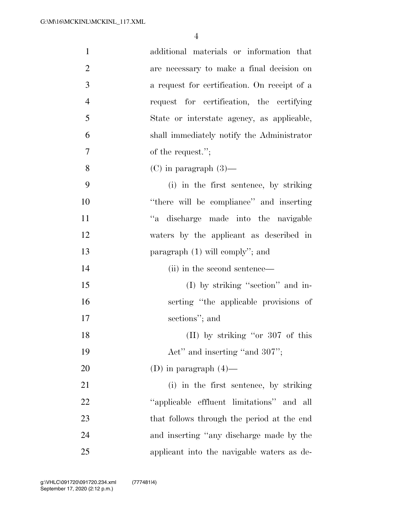| $\mathbf{1}$   | additional materials or information that     |
|----------------|----------------------------------------------|
| $\overline{2}$ | are necessary to make a final decision on    |
| 3              | a request for certification. On receipt of a |
| $\overline{4}$ | request for certification, the certifying    |
| 5              | State or interstate agency, as applicable,   |
| 6              | shall immediately notify the Administrator   |
| 7              | of the request.";                            |
| 8              | $(C)$ in paragraph $(3)$ —                   |
| 9              | (i) in the first sentence, by striking       |
| 10             | "there will be compliance" and inserting     |
| 11             | "a discharge made into the navigable         |
| 12             | waters by the applicant as described in      |
| 13             | paragraph $(1)$ will comply"; and            |
| 14             | (ii) in the second sentence—                 |
| 15             | $(I)$ by striking "section" and in-          |
| 16             | serting "the applicable provisions of        |
| 17             | sections"; and                               |
| 18             | (II) by striking "or 307 of this             |
| 19             | Act" and inserting "and 307";                |
| 20             | (D) in paragraph $(4)$ —                     |
| 21             | (i) in the first sentence, by striking       |
| 22             | "applicable effluent limitations" and all    |
| 23             | that follows through the period at the end   |
| 24             | and inserting "any discharge made by the     |
| 25             | applicant into the navigable waters as de-   |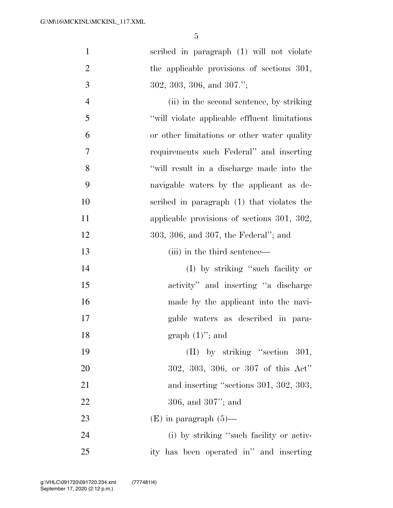| $\mathbf{1}$   | scribed in paragraph (1) will not violate      |
|----------------|------------------------------------------------|
| $\overline{2}$ | the applicable provisions of sections 301,     |
| 3              | $302, 303, 306, \text{ and } 307."$            |
| $\overline{4}$ | (ii) in the second sentence, by striking       |
| 5              | "will violate applicable effluent limitations" |
| 6              | or other limitations or other water quality    |
| 7              | requirements such Federal" and inserting       |
| 8              | "will result in a discharge made into the      |
| 9              | navigable waters by the applicant as de-       |
| 10             | scribed in paragraph (1) that violates the     |
| 11             | applicable provisions of sections 301, 302,    |
| 12             | 303, 306, and 307, the Federal"; and           |
| 13             | (iii) in the third sentence—                   |
| 14             | (I) by striking "such facility or              |
| 15             | activity" and inserting "a discharge           |
| 16             | made by the applicant into the navi-           |
| 17             | gable waters as described in para-             |
| 18             | graph $(1)$ "; and                             |
| 19             | $(II)$ by striking "section 301,               |
| 20             | 302, 303, 306, or 307 of this Act"             |
| 21             | and inserting "sections 301, 302, 303,         |
| 22             | $306$ , and $307$ "; and                       |
| 23             | $(E)$ in paragraph $(5)$ —                     |
| 24             | (i) by striking "such facility or activ-       |
| 25             | ity has been operated in" and inserting        |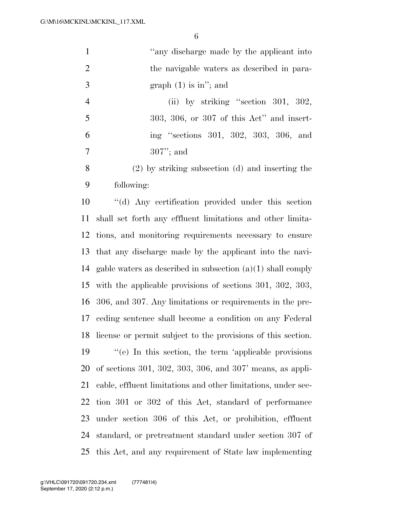| $\mathbf{1}$   | "any discharge made by the applicant into                     |
|----------------|---------------------------------------------------------------|
| $\overline{2}$ | the navigable waters as described in para-                    |
| 3              | graph $(1)$ is in"; and                                       |
| $\overline{4}$ | (ii) by striking "section $301, 302,$                         |
| 5              | $303, 306,$ or $307$ of this Act" and insert-                 |
| 6              | ing "sections 301, 302, 303, 306, and                         |
| 7              | $307$ "; and                                                  |
| 8              | $(2)$ by striking subsection $(d)$ and inserting the          |
| 9              | following:                                                    |
| 10             | "(d) Any certification provided under this section            |
| 11             | shall set forth any effluent limitations and other limita-    |
| 12             | tions, and monitoring requirements necessary to ensure        |
| 13             | that any discharge made by the applicant into the navi-       |
| 14             | gable waters as described in subsection $(a)(1)$ shall comply |
| 15             | with the applicable provisions of sections $301, 302, 303,$   |
| 16             | 306, and 307. Any limitations or requirements in the pre-     |
| 17             | ceding sentence shall become a condition on any Federal       |
| 18             | license or permit subject to the provisions of this section.  |
| 19             | "(e) In this section, the term 'applicable provisions         |
| 20             | of sections $301, 302, 303, 306,$ and $307'$ means, as appli- |
| 21             | cable, effluent limitations and other limitations, under sec- |
| 22             | tion 301 or 302 of this Act, standard of performance          |
| 23             | under section 306 of this Act, or prohibition, effluent       |
| 24             | standard, or pretreatment standard under section 307 of       |
| 25             | this Act, and any requirement of State law implementing       |